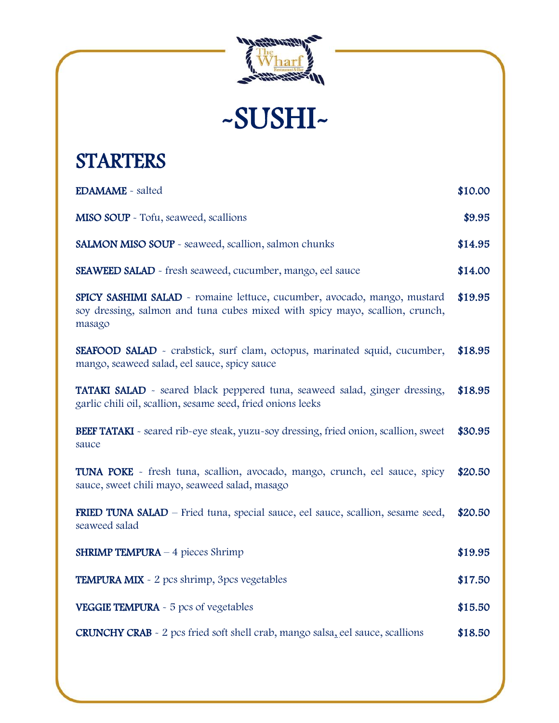

-SUSHI-

# **STARTERS**

| <b>EDAMAME</b> - salted                                                                                                                                            | \$10.00 |
|--------------------------------------------------------------------------------------------------------------------------------------------------------------------|---------|
| MISO SOUP - Tofu, seaweed, scallions                                                                                                                               | \$9.95  |
| SALMON MISO SOUP - seaweed, scallion, salmon chunks                                                                                                                | \$14.95 |
| <b>SEAWEED SALAD</b> - fresh seaweed, cucumber, mango, eel sauce                                                                                                   | \$14.00 |
| SPICY SASHIMI SALAD - romaine lettuce, cucumber, avocado, mango, mustard<br>soy dressing, salmon and tuna cubes mixed with spicy mayo, scallion, crunch,<br>masago | \$19.95 |
| SEAFOOD SALAD - crabstick, surf clam, octopus, marinated squid, cucumber,<br>mango, seaweed salad, eel sauce, spicy sauce                                          | \$18.95 |
| <b>TATAKI SALAD</b> - seared black peppered tuna, seaweed salad, ginger dressing,<br>garlic chili oil, scallion, sesame seed, fried onions leeks                   | \$18.95 |
| <b>BEEF TATAKI</b> - seared rib-eye steak, yuzu-soy dressing, fried onion, scallion, sweet<br>sauce                                                                | \$30.95 |
| <b>TUNA POKE</b> - fresh tuna, scallion, avocado, mango, crunch, eel sauce, spicy<br>sauce, sweet chili mayo, seaweed salad, masago                                | \$20.50 |
| FRIED TUNA SALAD - Fried tuna, special sauce, eel sauce, scallion, sesame seed,<br>seaweed salad                                                                   | \$20.50 |
| <b>SHRIMP TEMPURA</b> $-$ 4 pieces Shrimp                                                                                                                          | \$19.95 |
| <b>TEMPURA MIX</b> - 2 pcs shrimp, 3pcs vegetables                                                                                                                 | \$17.50 |
| <b>VEGGIE TEMPURA</b> - 5 pcs of vegetables                                                                                                                        | \$15.50 |
| <b>CRUNCHY CRAB</b> - 2 pcs fried soft shell crab, mango salsa, eel sauce, scallions                                                                               | \$18.50 |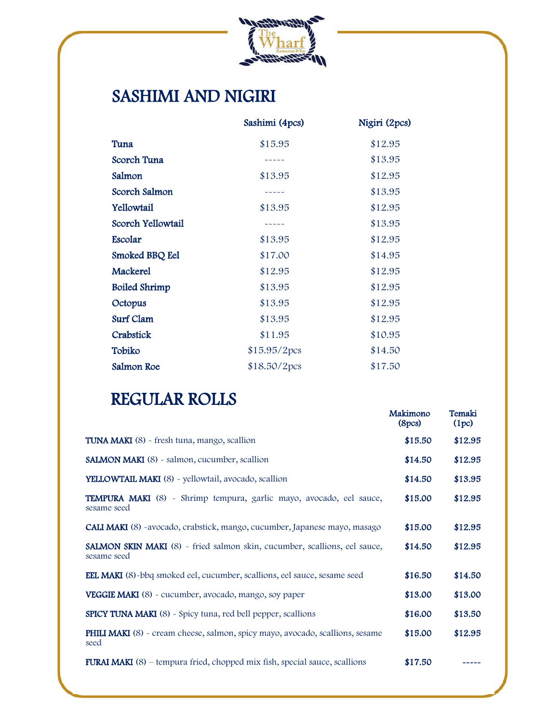

### SASHIMI AND NIGIRI

|                      | Sashimi (4pcs)                     | Nigiri (2pcs) |
|----------------------|------------------------------------|---------------|
| Tuna                 | \$15.95                            | \$12.95       |
| Scorch Tuna          | $\sim$ $\sim$ $\sim$ $\sim$ $\sim$ | \$13.95       |
| Salmon               | \$13.95                            | \$12.95       |
| Scorch Salmon        | $\sim$ $\sim$ $\sim$ $\sim$        | \$13.95       |
| Yellowtail           | \$13.95                            | \$12.95       |
| Scorch Yellowtail    | $\sim$ $\sim$ $\sim$ $\sim$        | \$13.95       |
| Escolar              | \$13.95                            | \$12.95       |
| Smoked BBQ Eel       | \$17.00                            | \$14.95       |
| Mackerel             | \$12.95                            | \$12.95       |
| <b>Boiled Shrimp</b> | \$13.95                            | \$12.95       |
| Octopus              | \$13.95                            | \$12.95       |
| <b>Surf Clam</b>     | \$13.95                            | \$12.95       |
| Crabstick            | \$11.95                            | \$10.95       |
| Tobiko               | \$15.95/2pcs                       | \$14.50       |
| Salmon Roe           | \$18.50/2pcs                       | \$17.50       |

#### REGULAR ROLLS

|                                                                                              | Makimono<br>(8pcs) | Temaki<br>(1pc) |
|----------------------------------------------------------------------------------------------|--------------------|-----------------|
| TUNA MAKI (8) - fresh tuna, mango, scallion                                                  | \$15.50            | \$12.95         |
| <b>SALMON MAKI</b> (8) - salmon, cucumber, scallion                                          | \$14.50            | \$12.95         |
| <b>YELLOWTAIL MAKI</b> (8) - yellowtail, avocado, scallion                                   | \$14.50            | \$13.95         |
| TEMPURA MAKI (8) - Shrimp tempura, garlic mayo, avocado, eel sauce,<br>sesame seed           | \$15.00            | \$12.95         |
| <b>CALI MAKI</b> (8) -avocado, crabstick, mango, cucumber, Japanese mayo, masago             | \$15.00            | \$12.95         |
| SALMON SKIN MAKI (8) - fried salmon skin, cucumber, scallions, eel sauce,<br>sesame seed     | \$14.50            | \$12.95         |
| <b>EEL MAKI</b> (8)-bbq smoked eel, cucumber, scallions, eel sauce, sesame seed              | \$16.50            | \$14.50         |
| <b>VEGGIE MAKI</b> (8) - cucumber, avocado, mango, soy paper                                 | \$13.00            | \$13.00         |
| <b>SPICY TUNA MAKI</b> (8) - Spicy tuna, red bell pepper, scallions                          | \$16.00            | \$13.50         |
| <b>PHILI MAKI</b> (8) - cream cheese, salmon, spicy mayo, avocado, scallions, sesame<br>seed | \$15.00            | \$12.95         |
| <b>FURAI MAKI</b> $(8)$ – tempura fried, chopped mix fish, special sauce, scallions          | \$17.50            |                 |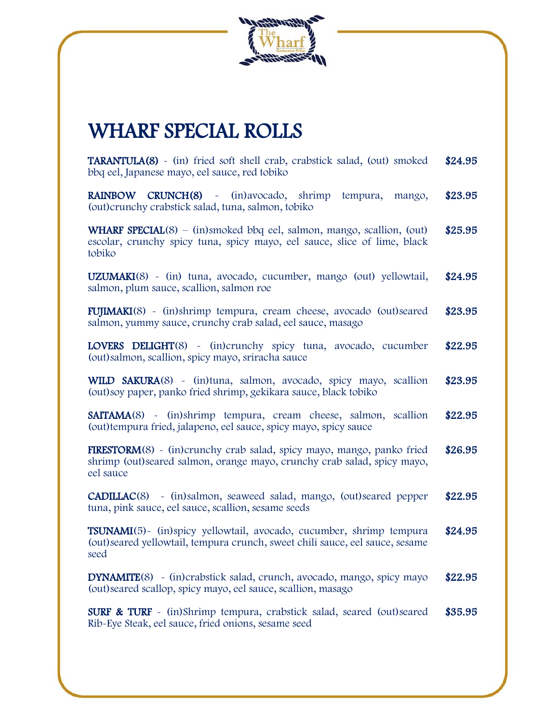

### WHARF SPECIAL ROLLS

TARANTULA(8) - (in) fried soft shell crab, crabstick salad, (out) smoked bbq eel, Japanese mayo, eel sauce, red tobiko \$24.95

RAINBOW CRUNCH(8) - (in)avocado, shrimp tempura, mango, (out)crunchy crabstick salad, tuna, salmon, tobiko \$23.95

WHARF SPECIAL(8) – (in)smoked bbq eel, salmon, mango, scallion, (out) escolar, crunchy spicy tuna, spicy mayo, eel sauce, slice of lime, black tobiko \$25.95

UZUMAKI(8) - (in) tuna, avocado, cucumber, mango (out) yellowtail, salmon, plum sauce, scallion, salmon roe \$24.95

FUJIMAKI(8) - (in)shrimp tempura, cream cheese, avocado (out)seared salmon, yummy sauce, crunchy crab salad, eel sauce, masago \$23.95

LOVERS DELIGHT(8) - (in)crunchy spicy tuna, avocado, cucumber (out)salmon, scallion, spicy mayo, sriracha sauce \$22.95

WILD SAKURA(8) - (in)tuna, salmon, avocado, spicy mayo, scallion (out)soy paper, panko fried shrimp, gekikara sauce, black tobiko \$23.95

SAITAMA(8) - (in)shrimp tempura, cream cheese, salmon, scallion (out)tempura fried, jalapeno, eel sauce, spicy mayo, spicy sauce \$22.95

FIRESTORM(8) - (in)crunchy crab salad, spicy mayo, mango, panko fried shrimp (out)seared salmon, orange mayo, crunchy crab salad, spicy mayo, eel sauce \$26.95

CADILLAC(8) - (in)salmon, seaweed salad, mango, (out)seared pepper tuna, pink sauce, eel sauce, scallion, sesame seeds \$22.95

TSUNAMI(5)- (in)spicy yellowtail, avocado, cucumber, shrimp tempura (out)seared yellowtail, tempura crunch, sweet chili sauce, eel sauce, sesame seed \$24.95

DYNAMITE(8) - (in)crabstick salad, crunch, avocado, mango, spicy mayo (out)seared scallop, spicy mayo, eel sauce, scallion, masago \$22.95

SURF & TURF - (in)Shrimp tempura, crabstick salad, seared (out)seared Rib-Eye Steak, eel sauce, fried onions, sesame seed \$35.95